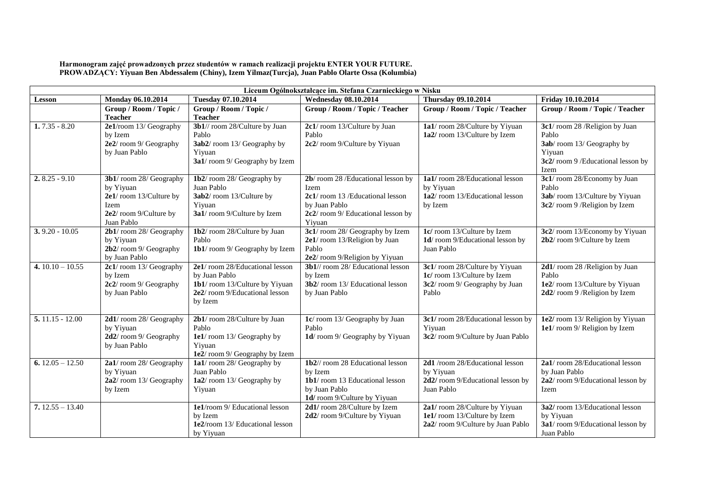| Harmonogram zajęć prowadzonych przez studentów w ramach realizacji projektu ENTER YOUR FUTURE.     |
|----------------------------------------------------------------------------------------------------|
| PROWADZĄCY: Yiyuan Ben Abdessalem (Chiny), Izem Yilmaz (Turcja), Juan Pablo Olarte Ossa (Kolumbia) |

| Liceum Ogólnokształcące im. Stefana Czarnieckiego w Nisku |                                     |                                      |                                        |                                   |                                  |
|-----------------------------------------------------------|-------------------------------------|--------------------------------------|----------------------------------------|-----------------------------------|----------------------------------|
| <b>Lesson</b>                                             | Monday 06.10.2014                   | <b>Tuesday 07.10.2014</b>            | <b>Wednesday 08.10.2014</b>            | Thursday 09.10.2014               | Friday 10.10.2014                |
|                                                           | Group / Room / Topic /              | Group / Room / Topic /               | Group / Room / Topic / Teacher         | Group / Room / Topic / Teacher    | Group / Room / Topic / Teacher   |
|                                                           | <b>Teacher</b>                      | <b>Teacher</b>                       |                                        |                                   |                                  |
| $1.7.35 - 8.20$                                           | 2e1/room 13/ Geography              | 3b1// room 28/Culture by Juan        | 2c1/room 13/Culture by Juan            | 1a1/room 28/Culture by Yiyuan     | 3c1/room 28 /Religion by Juan    |
|                                                           | by Izem                             | Pablo                                | Pablo                                  | 1a2/room 13/Culture by Izem       | Pablo                            |
|                                                           | 2e2/room 9/ Geography               | 3ab2/room 13/ Geography by           | 2c2/room 9/Culture by Yiyuan           |                                   | 3ab/room 13/ Geography by        |
|                                                           | by Juan Pablo                       | Yiyuan                               |                                        |                                   | Yiyuan                           |
|                                                           |                                     | 3a1/room 9/ Geography by Izem        |                                        |                                   | 3c2/room 9/Educational lesson by |
|                                                           |                                     |                                      |                                        |                                   | Izem                             |
| $2.8.25 - 9.10$                                           | 3b1/room 28/ Geography              | 1b2/room 28/ Geography by            | 2b/room 28/Educational lesson by       | 1a1/room 28/Educational lesson    | 3c1/room 28/Economy by Juan      |
|                                                           | by Yiyuan                           | Juan Pablo                           | Izem                                   | by Yiyuan                         | Pablo                            |
|                                                           | 2e1/room 13/Culture by              | 3ab2/room 13/Culture by              | 2c1/room 13/Educational lesson         | 1a2/room 13/Educational lesson    | 3ab/room 13/Culture by Yiyuan    |
|                                                           | Izem                                | Yiyuan                               | by Juan Pablo                          | by Izem                           | 3c2/room 9/Religion by Izem      |
|                                                           | 2e2/room 9/Culture by               | 3a1/room 9/Culture by Izem           | 2c2/room 9/ Educational lesson by      |                                   |                                  |
|                                                           | Juan Pablo                          |                                      | Yiyuan                                 |                                   |                                  |
| $3.9.20 - 10.05$                                          | 2b1/room 28/ Geography              | 1b2/room 28/Culture by Juan          | 3c1/room 28/ Geography by Izem         | 1c/ room 13/Culture by Izem       | 3c2/room 13/Economy by Yiyuan    |
|                                                           | by Yiyuan                           | Pablo                                | 2e1/room 13/Religion by Juan           | 1d/room 9/Educational lesson by   | 2b2/room 9/Culture by Izem       |
|                                                           | $2b2/$ room 9/ Geography            | 1b1/room 9/ Geography by Izem        | Pablo                                  | Juan Pablo                        |                                  |
|                                                           | by Juan Pablo                       |                                      | 2e2/room 9/Religion by Yiyuan          |                                   |                                  |
| 4. $10.10 - 10.55$                                        | 2c1/room 13/ Geography              | 2e1/room 28/Educational lesson       | 3b1// room 28/ Educational lesson      | 3c1/room 28/Culture by Yiyuan     | 2d1/room 28 /Religion by Juan    |
|                                                           | by Izem                             | by Juan Pablo                        | by Izem                                | 1c/ room 13/Culture by Izem       | Pablo                            |
|                                                           | 2c2/room 9/ Geography               | 1b1/room 13/Culture by Yiyuan        | 3b2/room 13/ Educational lesson        | 3c2/room 9/ Geography by Juan     | 1e2/room 13/Culture by Yiyuan    |
|                                                           | by Juan Pablo                       | 2e2/room 9/Educational lesson        | by Juan Pablo                          | Pablo                             | 2d2/room 9/Religion by Izem      |
|                                                           |                                     | by Izem                              |                                        |                                   |                                  |
| $5.11.15 - 12.00$                                         |                                     |                                      |                                        | 3c1/room 28/Educational lesson by | 1e2/room 13/Religion by Yiyuan   |
|                                                           | 2d1/room 28/ Geography<br>by Yiyuan | 2b1/room 28/Culture by Juan<br>Pablo | 1c/room 13/ Geography by Juan<br>Pablo | Yiyuan                            | 1e1/room 9/ Religion by Izem     |
|                                                           | 2d2/room 9/ Geography               | 1e1/room 13/ Geography by            | 1d/room 9/ Geography by Yiyuan         | 3c2/room 9/Culture by Juan Pablo  |                                  |
|                                                           | by Juan Pablo                       | Yiyuan                               |                                        |                                   |                                  |
|                                                           |                                     | 1e2/room 9/ Geography by Izem        |                                        |                                   |                                  |
| 6. $12.05 - 12.50$                                        | 2a1/room 28/ Geography              | 1a1/room 28/ Geography by            | 1b2// room 28 Educational lesson       | 2d1 /room 28/Educational lesson   | 2a1/room 28/Educational lesson   |
|                                                           | by Yiyuan                           | Juan Pablo                           | by Izem                                | by Yiyuan                         | by Juan Pablo                    |
|                                                           | 2a2/room 13/Geography               | 1a2/room 13/ Geography by            | 1b1/room 13 Educational lesson         | 2d2/room 9/Educational lesson by  | 2a2/room 9/Educational lesson by |
|                                                           | by Izem                             | Yiyuan                               | by Juan Pablo                          | Juan Pablo                        | Izem                             |
|                                                           |                                     |                                      | 1d/room 9/Culture by Yiyuan            |                                   |                                  |
| $7.12.55 - 13.40$                                         |                                     | 1e1/room 9/ Educational lesson       | 2d1/room 28/Culture by Izem            | 2a1/room 28/Culture by Yiyuan     | 3a2/room 13/Educational lesson   |
|                                                           |                                     | by Izem                              | 2d2/room 9/Culture by Yiyuan           | 1e1/room 13/Culture by Izem       | by Yiyuan                        |
|                                                           |                                     | 1e2/room 13/ Educational lesson      |                                        | 2a2/room 9/Culture by Juan Pablo  | 3a1/room 9/Educational lesson by |
|                                                           |                                     | by Yiyuan                            |                                        |                                   | Juan Pablo                       |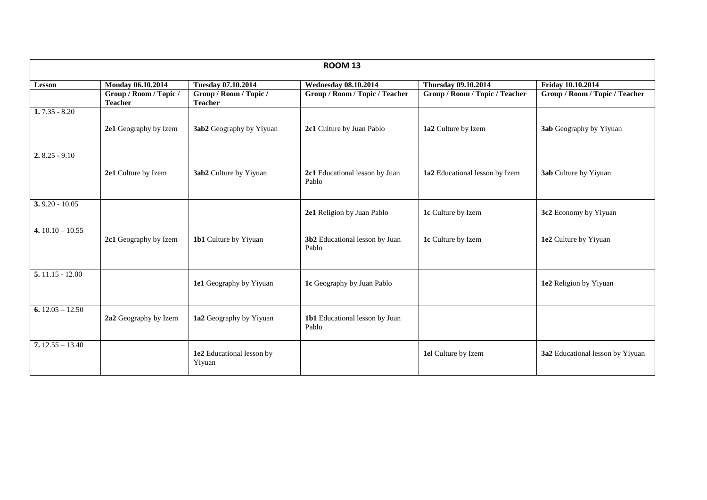| <b>ROOM 13</b>     |                                          |                                          |                                         |                                |                                  |
|--------------------|------------------------------------------|------------------------------------------|-----------------------------------------|--------------------------------|----------------------------------|
| <b>Lesson</b>      | Monday 06.10.2014                        | Tuesday 07.10.2014                       | <b>Wednesday 08.10.2014</b>             | <b>Thursday 09.10.2014</b>     | Friday 10.10.2014                |
|                    | Group / Room / Topic /<br><b>Teacher</b> | Group / Room / Topic /<br><b>Teacher</b> | Group / Room / Topic / Teacher          | Group / Room / Topic / Teacher | Group / Room / Topic / Teacher   |
| $1.7.35 - 8.20$    |                                          |                                          |                                         |                                |                                  |
|                    | 2e1 Geography by Izem                    | 3ab2 Geography by Yiyuan                 | 2c1 Culture by Juan Pablo               | 1a2 Culture by Izem            | <b>3ab</b> Geography by Yiyuan   |
| $2.8.25 - 9.10$    |                                          |                                          |                                         |                                |                                  |
|                    | 2e1 Culture by Izem                      | 3ab2 Culture by Yiyuan                   | 2c1 Educational lesson by Juan<br>Pablo | 1a2 Educational lesson by Izem | 3ab Culture by Yiyuan            |
| $3.9.20 - 10.05$   |                                          |                                          |                                         |                                |                                  |
|                    |                                          |                                          | 2e1 Religion by Juan Pablo              | 1c Culture by Izem             | 3c2 Economy by Yiyuan            |
| 4. $10.10 - 10.55$ | 2c1 Geography by Izem                    | <b>1b1</b> Culture by Yiyuan             | 3b2 Educational lesson by Juan<br>Pablo | 1c Culture by Izem             | 1e2 Culture by Yiyuan            |
| $5.11.15 - 12.00$  |                                          |                                          |                                         |                                |                                  |
|                    |                                          | 1e1 Geography by Yiyuan                  | 1c Geography by Juan Pablo              |                                | 1e2 Religion by Yiyuan           |
| 6. $12.05 - 12.50$ | 2a2 Geography by Izem                    | 1a2 Geography by Yiyuan                  | 1b1 Educational lesson by Juan<br>Pablo |                                |                                  |
|                    |                                          |                                          |                                         |                                |                                  |
| $7.12.55 - 13.40$  |                                          | 1e2 Educational lesson by<br>Yiyuan      |                                         | 1el Culture by Izem            | 3a2 Educational lesson by Yiyuan |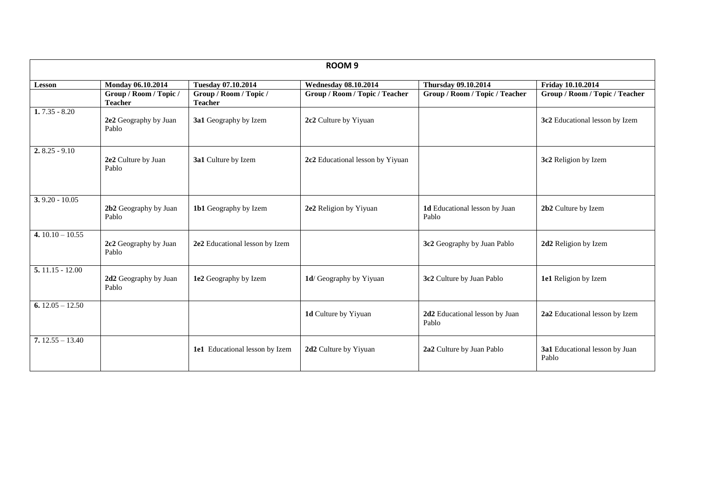| ROOM <sub>9</sub>  |                                          |                                          |                                  |                                         |                                         |
|--------------------|------------------------------------------|------------------------------------------|----------------------------------|-----------------------------------------|-----------------------------------------|
| Lesson             | Monday 06.10.2014                        | Tuesday 07.10.2014                       | <b>Wednesday 08.10.2014</b>      | <b>Thursday 09.10.2014</b>              | Friday 10.10.2014                       |
|                    | Group / Room / Topic /<br><b>Teacher</b> | Group / Room / Topic /<br><b>Teacher</b> | Group / Room / Topic / Teacher   | Group / Room / Topic / Teacher          | Group / Room / Topic / Teacher          |
| $1.7.35 - 8.20$    | 2e2 Geography by Juan<br>Pablo           | 3a1 Geography by Izem                    | 2c2 Culture by Yiyuan            |                                         | 3c2 Educational lesson by Izem          |
| $2.8.25 - 9.10$    | 2e2 Culture by Juan<br>Pablo             | 3a1 Culture by Izem                      | 2c2 Educational lesson by Yiyuan |                                         | 3c2 Religion by Izem                    |
| $3.9.20 - 10.05$   | 2b2 Geography by Juan<br>Pablo           | 1b1 Geography by Izem                    | 2e2 Religion by Yiyuan           | 1d Educational lesson by Juan<br>Pablo  | 2b2 Culture by Izem                     |
| 4. $10.10 - 10.55$ | 2c2 Geography by Juan<br>Pablo           | 2e2 Educational lesson by Izem           |                                  | 3c2 Geography by Juan Pablo             | 2d2 Religion by Izem                    |
| $5.11.15 - 12.00$  | 2d2 Geography by Juan<br>Pablo           | 1e2 Geography by Izem                    | 1d/ Geography by Yiyuan          | 3c2 Culture by Juan Pablo               | 1e1 Religion by Izem                    |
| 6. $12.05 - 12.50$ |                                          |                                          | 1d Culture by Yiyuan             | 2d2 Educational lesson by Juan<br>Pablo | 2a2 Educational lesson by Izem          |
| $7.12.55 - 13.40$  |                                          | 1e1 Educational lesson by Izem           | 2d2 Culture by Yiyuan            | 2a2 Culture by Juan Pablo               | 3a1 Educational lesson by Juan<br>Pablo |